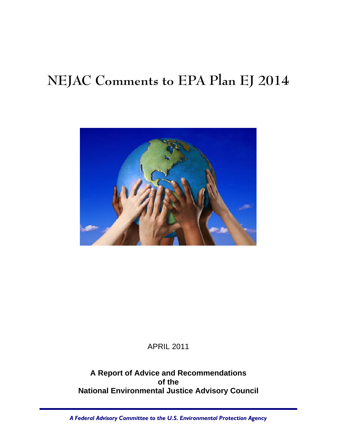# **NEJAC Comments to EPA Plan EJ 2014**



APRIL 2011

**A Report of Advice and Recommendations of the National Environmental Justice Advisory Council**

*A Federal Advisory Committee to the U.S. Environmental Protection Agency*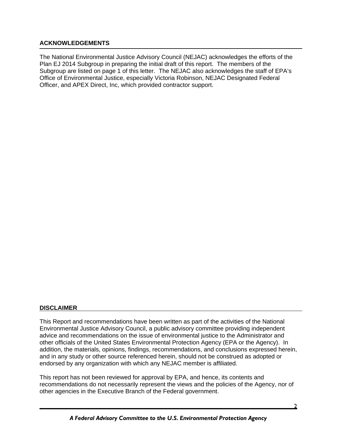# **ACKNOWLEDGEMENTS**

The National Environmental Justice Advisory Council (NEJAC) acknowledges the efforts of the Plan EJ 2014 Subgroup in preparing the initial draft of this report. The members of the Subgroup are listed on page 1 of this letter. The NEJAC also acknowledges the staff of EPA's Office of Environmental Justice, especially Victoria Robinson, NEJAC Designated Federal Officer, and APEX Direct, Inc, which provided contractor support.

#### **DISCLAIMER**

This Report and recommendations have been written as part of the activities of the National Environmental Justice Advisory Council, a public advisory committee providing independent advice and recommendations on the issue of environmental justice to the Administrator and other officials of the United States Environmental Protection Agency (EPA or the Agency). In addition, the materials, opinions, findings, recommendations, and conclusions expressed herein, and in any study or other source referenced herein, should not be construed as adopted or endorsed by any organization with which any NEJAC member is affiliated.

This report has not been reviewed for approval by EPA, and hence, its contents and recommendations do not necessarily represent the views and the policies of the Agency, nor of other agencies in the Executive Branch of the Federal government.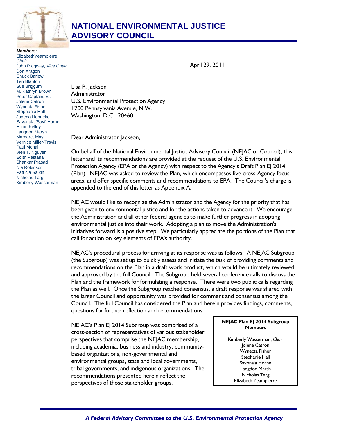

# **NATIONAL ENVIRONMENTAL JUSTICE ADVISORY COUNCIL**

*Members:*  ElizabethYeampierre, *Chair*  John Ridgway, *Vice Chair*  Don Aragon Chuck Barlow Teri Blanton Sue Briggum M. Kathryn Brown Peter Captain, Sr. Jolene Catron Wynecta Fisher Stephanie Hall Jodena Henneke Savanala 'Savi' Horne Hilton Kelley Langdon Marsh Margaret May Vernice Miller-Travis Paul Mohai Vien T. Nguyen Edith Pestana Shankar Prasad Nia Robinson Patricia Salkin Nicholas Targ Kimberly Wasserman

April 29, 2011

Lisa P. Jackson Administrator U.S. Environmental Protection Agency 1200 Pennsylvania Avenue, N.W. Washington, D.C. 20460

Dear Administrator Jackson,

On behalf of the National Environmental Justice Advisory Council (NEJAC or Council), this letter and its recommendations are provided at the request of the U.S. Environmental Protection Agency (EPA or the Agency) with respect to the Agency's Draft Plan EJ 2014 (Plan). NEJAC was asked to review the Plan, which encompasses five cross-Agency focus areas, and offer specific comments and recommendations to EPA. The Council's charge is appended to the end of this letter as Appendix A.

NEJAC would like to recognize the Administrator and the Agency for the priority that has been given to environmental justice and for the actions taken to advance it. We encourage the Administration and all other federal agencies to make further progress in adopting environmental justice into their work. Adopting a plan to move the Administration's initiatives forward is a positive step. We particularly appreciate the portions of the Plan that call for action on key elements of EPA's authority.

NEJAC's procedural process for arriving at its response was as follows: A NEJAC Subgroup (the Subgroup) was set up to quickly assess and initiate the task of providing comments and recommendations on the Plan in a draft work product, which would be ultimately reviewed and approved by the full Council. The Subgroup held several conference calls to discuss the Plan and the framework for formulating a response. There were two public calls regarding the Plan as well. Once the Subgroup reached consensus, a draft response was shared with the larger Council and opportunity was provided for comment and consensus among the Council. The full Council has considered the Plan and herein provides findings, comments, questions for further reflection and recommendations.

NEJAC's Plan EJ 2014 Subgroup was comprised of a cross-section of representatives of various stakeholder perspectives that comprise the NEJAC membership, including academia, business and industry, communitybased organizations, non-governmental and environmental groups, state and local governments, tribal governments, and indigenous organizations. The recommendations presented herein reflect the perspectives of those stakeholder groups.

**NEJAC Plan EJ 2014 Subgroup Members**

Kimberly Wasserman, *Chair* Jolene Catron Wynecta Fisher Stephanie Hall Savonala Horne Langdon Marsh Nicholas Targ Elizabeth Yeampierre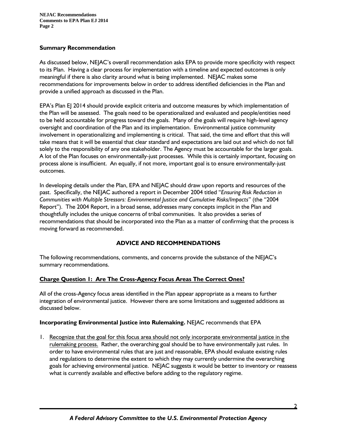**NEJAC Recommendations Comments to EPA Plan EJ 2014 Page 2** 

#### **Summary Recommendation**

As discussed below, NEJAC's overall recommendation asks EPA to provide more specificity with respect to its Plan. Having a clear process for implementation with a timeline and expected outcomes is only meaningful if there is also clarity around what is being implemented. NEJAC makes some recommendations for improvements below in order to address identified deficiencies in the Plan and provide a unified approach as discussed in the Plan.

EPA's Plan EJ 2014 should provide explicit criteria and outcome measures by which implementation of the Plan will be assessed. The goals need to be operationalized and evaluated and people/entities need to be held accountable for progress toward the goals. Many of the goals will require high-level agency oversight and coordination of the Plan and its implementation. Environmental justice community involvement in operationalizing and implementing is critical. That said, the time and effort that this will take means that it will be essential that clear standard and expectations are laid out and which do not fall solely to the responsibility of any one stakeholder. The Agency must be accountable for the larger goals. A lot of the Plan focuses on environmentally-just processes. While this is certainly important, focusing on process alone is insufficient. An equally, if not more, important goal is to ensure environmentally-just outcomes.

In developing details under the Plan, EPA and NEJAC should draw upon reports and resources of the past. Specifically, the NEJAC authored a report in December 2004 titled "*Ensuring Risk Reduction in Communities with Multiple Stressors: Environmental Justice and Cumulative Risks/Impacts*" (the "2004 Report"). The 2004 Report, in a broad sense, addresses many concepts implicit in the Plan and thoughtfully includes the unique concerns of tribal communities. It also provides a series of recommendations that should be incorporated into the Plan as a matter of confirming that the process is moving forward as recommended.

# **ADVICE AND RECOMMENDATIONS**

The following recommendations, comments, and concerns provide the substance of the NEJAC's summary recommendations.

# **Charge Question 1: Are The Cross-Agency Focus Areas The Correct Ones?**

All of the cross-Agency focus areas identified in the Plan appear appropriate as a means to further integration of environmental justice. However there are some limitations and suggested additions as discussed below.

# **Incorporating Environmental Justice into Rulemaking.** NEJAC recommends that EPA

1. Recognize that the goal for this focus area should not only incorporate environmental justice in the rulemaking process. Rather, the overarching goal should be to have environmentally just rules. In order to have environmental rules that are just and reasonable, EPA should evaluate existing rules and regulations to determine the extent to which they may currently undermine the overarching goals for achieving environmental justice. NEJAC suggests it would be better to inventory or reassess what is currently available and effective before adding to the regulatory regime.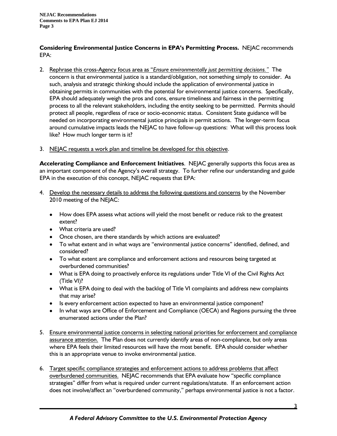**NEJAC Recommendations Comments to EPA Plan EJ 2014 Page 3** 

#### **Considering Environmental Justice Concerns in EPA's Permitting Process.** NEJAC recommends EPA:

- 2. Rephrase this cross-Agency focus area as "*Ensure environmentally just permitting decisions."* The concern is that environmental justice is a standard/obligation, not something simply to consider. As such, analysis and strategic thinking should include the application of environmental justice in obtaining permits in communities with the potential for environmental justice concerns. Specifically, EPA should adequately weigh the pros and cons, ensure timeliness and fairness in the permitting process to all the relevant stakeholders, including the entity seeking to be permitted. Permits should protect all people, regardless of race or socio-economic status. Consistent State guidance will be needed on incorporating environmental justice principals in permit actions. The longer-term focus around cumulative impacts leads the NEJAC to have follow-up questions: What will this process look like? How much longer term is it?
- 3. NEJAC requests a work plan and timeline be developed for this objective.

**Accelerating Compliance and Enforcement Initiatives**. NEJAC generally supports this focus area as an important component of the Agency's overall strategy. To further refine our understanding and guide EPA in the execution of this concept, NEJAC requests that EPA:

- 4. Develop the necessary details to address the following questions and concerns by the November 2010 meeting of the NEJAC:
	- How does EPA assess what actions will yield the most benefit or reduce risk to the greatest extent?
	- What criteria are used?
	- Once chosen, are there standards by which actions are evaluated?
	- To what extent and in what ways are "environmental justice concerns" identified, defined, and considered?
	- To what extent are compliance and enforcement actions and resources being targeted at overburdened communities?
	- What is EPA doing to proactively enforce its regulations under Title VI of the Civil Rights Act (Title VI)?
	- What is EPA doing to deal with the backlog of Title VI complaints and address new complaints that may arise?
	- Is every enforcement action expected to have an environmental justice component?
	- In what ways are Office of Enforcement and Compliance (OECA) and Regions pursuing the three enumerated actions under the Plan?
- 5. Ensure environmental justice concerns in selecting national priorities for enforcement and compliance assurance attention. The Plan does not currently identify areas of non-compliance, but only areas where EPA feels their limited resources will have the most benefit. EPA should consider whether this is an appropriate venue to invoke environmental justice.
- 6. Target specific compliance strategies and enforcement actions to address problems that affect overburdened communities. NEJAC recommends that EPA evaluate how "specific compliance strategies" differ from what is required under current regulations/statute. If an enforcement action does not involve/affect an "overburdened community," perhaps environmental justice is not a factor.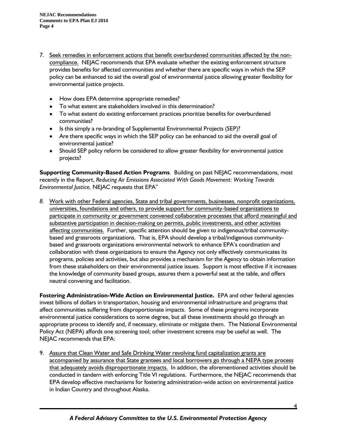- compliance. NEJAC recommends that EPA evaluate whether the existing enforcement structure 7. Seek remedies in enforcement actions that benefit overburdened communities affected by the nonprovides benefits for affected communities and whether there are specific ways in which the SEP policy can be enhanced to aid the overall goal of environmental justice allowing greater flexibility for environmental justice projects.
	- How does EPA determine appropriate remedies?
	- To what extent are stakeholders involved in this determination?
	- communities? To what extent do existing enforcement practices prioritize benefits for overburdened
	- Is this simply a re-branding of Supplemental Environmental Projects (SEP)?
	- Are there specific ways in which the SEP policy can be enhanced to aid the overall goal of environmental justice?
	- Should SEP policy reform be considered to allow greater flexibility for environmental justice projects?

**Supporting Community-Based Action Programs**. Building on past NEJAC recommendations, most recently in the Report, *Reducing Air Emissions Associated With Goods Movement: Working Towards Environmental Justice,* NEJAC requests that EPA"

*8.* Work with other Federal agencies, State and tribal governments, businesses, nonprofit organizations, universities, foundations and others, to provide support for community-based organizations to participate in community or government convened collaborative processes that afford meaningful and substantive participation in decision-making on permits, public investments, and other activities affecting communities. Further, specific attention should be given to indigenous/tribal communitybased and grassroots organizations. That is, EPA should develop a tribal/indigenous communitybased and grassroots organizations environmental network to enhance EPA's coordination and collaboration with these organizations to ensure the Agency not only effectively communicates its programs, policies and activities, but also provides a mechanism for the Agency to obtain information from these stakeholders on their environmental justice issues. Support is most effective if it increases the knowledge of community based groups, assures them a powerful seat at the table, and offers neutral convening and facilitation.

**Fostering Administration-Wide Action on Environmental Justice.** EPA and other federal agencies invest billions of dollars in transportation, housing and environmental infrastructure and programs that affect communities suffering from disproportionate impacts. Some of these programs incorporate environmental justice considerations to some degree, but all these investments should go through an appropriate process to identify and, if necessary, eliminate or mitigate them. The National Environmental Policy Act (NEPA) affords one screening tool; other investment screens may be useful as well. The NEJAC recommends that EPA:

9. Assure that Clean Water and Safe Drinking Water revolving fund capitalization grants are accompanied by assurance that State grantees and local borrowers go through a NEPA type process that adequately avoids disproportionate impacts. In addition, the aforementioned activities should be conducted in tandem with enforcing Title VI regulations. Furthermore, the NEJAC recommends that EPA develop effective mechanisms for fostering administration-wide action on environmental justice in Indian Country and throughout Alaska.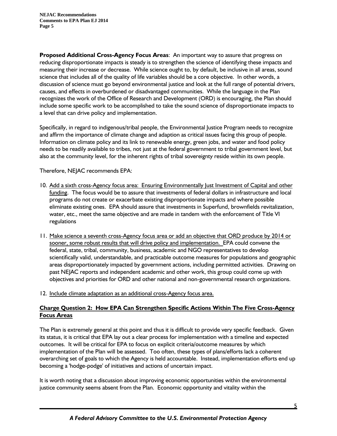**Proposed Additional Cross-Agency Focus Areas**: An important way to assure that progress on reducing disproportionate impacts is steady is to strengthen the science of identifying these impacts and measuring their increase or decrease. While science ought to, by default, be inclusive in all areas, sound science that includes all of the quality of life variables should be a core objective. In other words, a discussion of science must go beyond environmental justice and look at the full range of potential drivers, causes, and effects in overburdened or disadvantaged communities. While the language in the Plan recognizes the work of the Office of Research and Development (ORD) is encouraging, the Plan should include some specific work to be accomplished to take the sound science of disproportionate impacts to a level that can drive policy and implementation.

Specifically, in regard to indigenous/tribal people, the Environmental Justice Program needs to recognize and affirm the importance of climate change and adaption as critical issues facing this group of people. Information on climate policy and its link to renewable energy, green jobs, and water and food policy needs to be readily available to tribes, not just at the federal government to tribal government level, but also at the community level, for the inherent rights of tribal sovereignty reside within its own people.

Therefore, NEJAC recommends EPA:

- 10. Add a sixth cross-Agency focus area: Ensuring Environmentally Just Investment of Capital and other funding. The focus would be to assure that investments of federal dollars in infrastructure and local programs do not create or exacerbate existing disproportionate impacts and where possible eliminate existing ones. EPA should assure that investments in Superfund, brownfields revitalization, water, etc., meet the same objective and are made in tandem with the enforcement of Title VI regulations
- 11. Make science a seventh cross-Agency focus area or add an objective that ORD produce by 2014 or sooner, some robust results that will drive policy and implementation. EPA could convene the federal, state, tribal, community, business, academic and NGO representatives to develop scientifically valid, understandable, and practicable outcome measures for populations and geographic areas disproportionately impacted by government actions, including permitted activities. Drawing on past NEJAC reports and independent academic and other work, this group could come up with objectives and priorities for ORD and other national and non-governmental research organizations.
- 12. Include climate adaptation as an additional cross-Agency focus area.

# **Charge Question 2: How EPA Can Strengthen Specific Actions Within The Five Cross-Agency Focus Areas**

The Plan is extremely general at this point and thus it is difficult to provide very specific feedback. Given its status, it is critical that EPA lay out a clear process for implementation with a timeline and expected outcomes. It will be critical for EPA to focus on explicit criteria/outcome measures by which implementation of the Plan will be assessed. Too often, these types of plans/efforts lack a coherent overarching set of goals to which the Agency is held accountable. Instead, implementation efforts end up becoming a 'hodge-podge' of initiatives and actions of uncertain impact.

It is worth noting that a discussion about improving economic opportunities within the environmental justice community seems absent from the Plan. Economic opportunity and vitality within the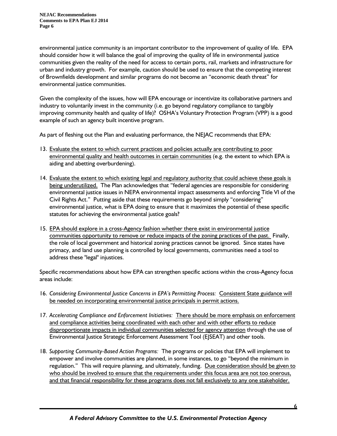environmental justice community is an important contributor to the improvement of quality of life. EPA should consider how it will balance the goal of improving the quality of life in environmental justice communities given the reality of the need for access to certain ports, rail, markets and infrastructure for urban and industry growth. For example, caution should be used to ensure that the competing interest of Brownfields development and similar programs do not become an "economic death threat" for environmental justice communities.

example of such an agency built incentive program. Given the complexity of the issues, how will EPA encourage or incentivize its collaborative partners and industry to voluntarily invest in the community (i.e. go beyond regulatory compliance to tangibly improving community health and quality of life)? OSHA's Voluntary Protection Program (VPP) is a good

As part of fleshing out the Plan and evaluating performance, the NEJAC recommends that EPA:

- 13. Evaluate the extent to which current practices and policies actually are contributing to poor environmental quality and health outcomes in certain communities (e.g. the extent to which EPA is aiding and abetting overburdening).
- 14. Evaluate the extent to which existing legal and regulatory authority that could achieve these goals is being underutilized. The Plan acknowledges that "federal agencies are responsible for considering environmental justice issues in NEPA environmental impact assessments and enforcing Title VI of the Civil Rights Act." Putting aside that these requirements go beyond simply "considering" environmental justice, what is EPA doing to ensure that it maximizes the potential of these specific statutes for achieving the environmental justice goals?
- 15. EPA should explore in a cross-Agency fashion whether there exist in environmental justice communities opportunity to remove or reduce impacts of the zoning practices of the past. Finally, the role of local government and historical zoning practices cannot be ignored. Since states have primacy, and land use planning is controlled by local governments, communities need a tool to address these "legal" injustices.

Specific recommendations about how EPA can strengthen specific actions within the cross-Agency focus areas include:

- 16. *Considering Environmental Justice Concerns in EPA's Permitting Process:* Consistent State guidance will be needed on incorporating environmental justice principals in permit actions.
- 17. *Accelerating Compliance and Enforcement Initiatives:* There should be more emphasis on enforcement and compliance activities being coordinated with each other and with other efforts to reduce disproportionate impacts in individual communities selected for agency attention through the use of Environmental Justice Strategic Enforcement Assessment Tool (EJSEAT) and other tools.
- 18. *Supporting Community-Based Action Programs:* The programs or policies that EPA will implement to empower and involve communities are planned, in some instances, to go "beyond the minimum in regulation." This will require planning, and ultimately, funding. Due consideration should be given to who should be involved to ensure that the requirements under this focus area are not too onerous, and that financial responsibility for these programs does not fall exclusively to any one stakeholder.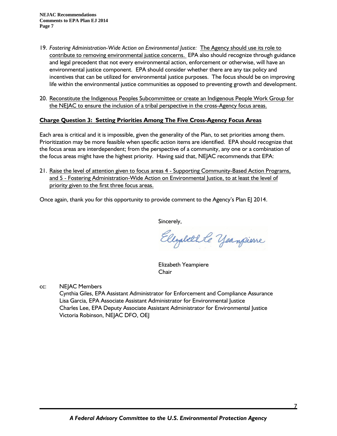- 19. Fostering Administration-Wide Action on Environmental Justice: The Agency should use its role to contribute to removing environmental justice concerns. EPA also should recognize through guidance and legal precedent that not every environmental action, enforcement or otherwise, will have an environmental justice component. EPA should consider whether there are any tax policy and incentives that can be utilized for environmental justice purposes. The focus should be on improving life within the environmental justice communities as opposed to preventing growth and development.
- the NEJAC to ensure the inclusion of a tribal perspective in the cross-Agency focus areas. 20. Reconstitute the Indigenous Peoples Subcommittee or create an Indigenous People Work Group for

# **Charge Question 3: Setting Priorities Among The Five Cross-Agency Focus Areas**

Each area is critical and it is impossible, given the generality of the Plan, to set priorities among them. Prioritization may be more feasible when specific action items are identified. EPA should recognize that the focus areas are interdependent; from the perspective of a community, any one or a combination of the focus areas might have the highest priority. Having said that, NEJAC recommends that EPA:

21. Raise the level of attention given to focus areas 4 - Supporting Community-Based Action Programs, and 5 - Fostering Administration-Wide Action on Environmental Justice, to at least the level of priority given to the first three focus areas.

Once again, thank you for this opportunity to provide comment to the Agency's Plan EJ 2014.

Sincerely,

Elizabeth le Yeanpierre

Elizabeth Yeampiere Chair

cc: NEJAC Members

Cynthia Giles, EPA Assistant Administrator for Enforcement and Compliance Assurance Lisa Garcia, EPA Associate Assistant Administrator for Environmental Justice Charles Lee, EPA Deputy Associate Assistant Administrator for Environmental Justice Victoria Robinson, NEJAC DFO, OEJ

7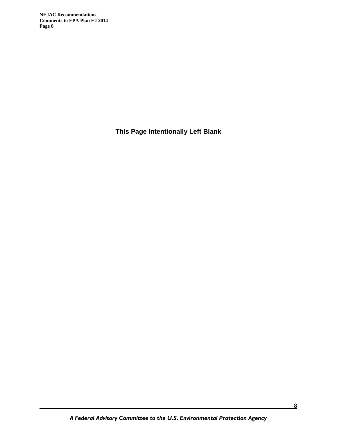**NEJAC Recommendations Comments to EPA Plan EJ 2014 Page 8**

**This Page Intentionally Left Blank**